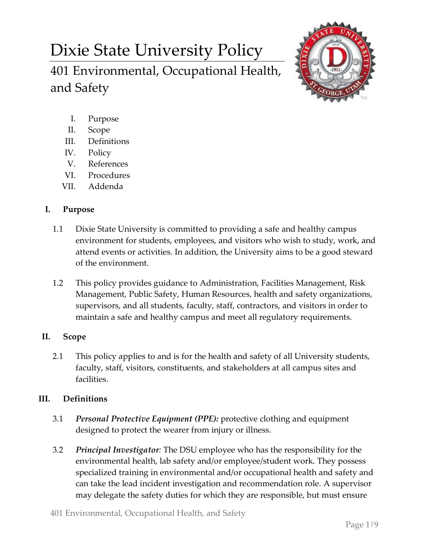# Dixie State University Policy 401 Environmental, Occupational Health, and Safety



- I. Purpose
- II. Scope
- III. Definitions
- IV. Policy
- V. References
- VI. Procedures
- VII. Addenda

## **I. Purpose**

- 1.1 Dixie State University is committed to providing a safe and healthy campus environment for students, employees, and visitors who wish to study, work, and attend events or activities. In addition, the University aims to be a good steward of the environment.
- 1.2 This policy provides guidance to Administration, Facilities Management, Risk Management, Public Safety, Human Resources, health and safety organizations, supervisors, and all students, faculty, staff, contractors, and visitors in order to maintain a safe and healthy campus and meet all regulatory requirements.

# **II. Scope**

2.1 This policy applies to and is for the health and safety of all University students, faculty, staff, visitors, constituents, and stakeholders at all campus sites and facilities.

# **III. Definitions**

- 3.1 *Personal Protective Equipment (PPE):* protective clothing and equipment designed to protect the wearer from injury or illness.
- 3.2 *Principal Investigator:* The DSU employee who has the responsibility for the environmental health, lab safety and/or employee/student work. They possess specialized training in environmental and/or occupational health and safety and can take the lead incident investigation and recommendation role. A supervisor may delegate the safety duties for which they are responsible, but must ensure
- 401 Environmental, Occupational Health, and Safety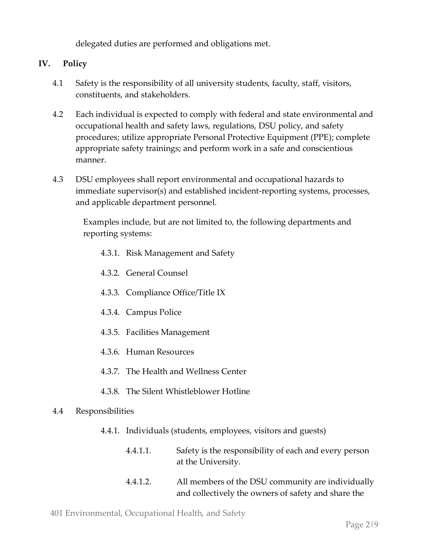delegated duties are performed and obligations met.

## **IV. Policy**

- 4.1 Safety is the responsibility of all university students, faculty, staff, visitors, constituents, and stakeholders.
- 4.2 Each individual is expected to comply with federal and state environmental and occupational health and safety laws, regulations, DSU policy, and safety procedures; utilize appropriate Personal Protective Equipment (PPE); complete appropriate safety trainings; and perform work in a safe and conscientious manner.
- 4.3 DSU employees shall report environmental and occupational hazards to immediate supervisor(s) and established incident-reporting systems, processes, and applicable department personnel.

Examples include, but are not limited to, the following departments and reporting systems:

- 4.3.1. Risk Management and Safety
- 4.3.2. General Counsel
- 4.3.3. Compliance Office/Title IX
- 4.3.4. Campus Police
- 4.3.5. Facilities Management
- 4.3.6. Human Resources
- 4.3.7. The Health and Wellness Center
- 4.3.8. The Silent Whistleblower Hotline

#### 4.4 Responsibilities

- 4.4.1. Individuals (students, employees, visitors and guests)
	- 4.4.1.1. Safety is the responsibility of each and every person at the University.
	- 4.4.1.2. All members of the DSU community are individually and collectively the owners of safety and share the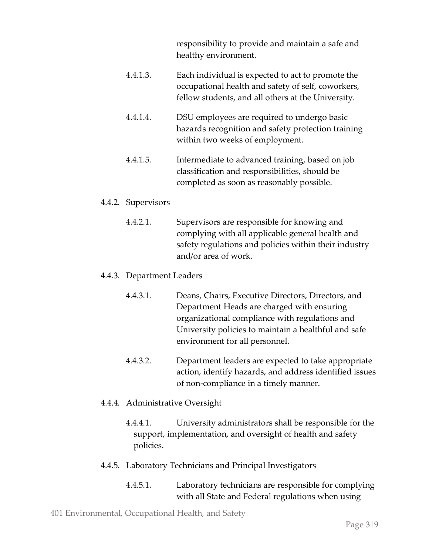responsibility to provide and maintain a safe and healthy environment.

- 4.4.1.3. Each individual is expected to act to promote the occupational health and safety of self, coworkers, fellow students, and all others at the University.
- 4.4.1.4. DSU employees are required to undergo basic hazards recognition and safety protection training within two weeks of employment.
- 4.4.1.5. Intermediate to advanced training, based on job classification and responsibilities, should be completed as soon as reasonably possible.

#### 4.4.2. Supervisors

4.4.2.1. Supervisors are responsible for knowing and complying with all applicable general health and safety regulations and policies within their industry and/or area of work.

#### 4.4.3. Department Leaders

- 4.4.3.1. Deans, Chairs, Executive Directors, Directors, and Department Heads are charged with ensuring organizational compliance with regulations and University policies to maintain a healthful and safe environment for all personnel.
- 4.4.3.2. Department leaders are expected to take appropriate action, identify hazards, and address identified issues of non-compliance in a timely manner.

#### 4.4.4. Administrative Oversight

4.4.4.1. University administrators shall be responsible for the support, implementation, and oversight of health and safety policies.

#### 4.4.5. Laboratory Technicians and Principal Investigators

4.4.5.1. Laboratory technicians are responsible for complying with all State and Federal regulations when using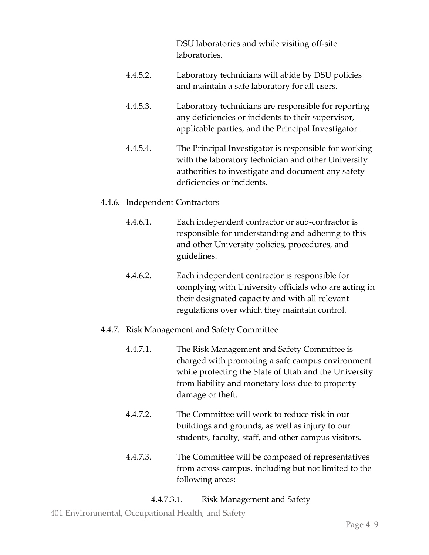DSU laboratories and while visiting off-site laboratories.

- 4.4.5.2. Laboratory technicians will abide by DSU policies and maintain a safe laboratory for all users.
- 4.4.5.3. Laboratory technicians are responsible for reporting any deficiencies or incidents to their supervisor, applicable parties, and the Principal Investigator.
- 4.4.5.4. The Principal Investigator is responsible for working with the laboratory technician and other University authorities to investigate and document any safety deficiencies or incidents.

#### 4.4.6. Independent Contractors

- 4.4.6.1. Each independent contractor or sub-contractor is responsible for understanding and adhering to this and other University policies, procedures, and guidelines.
- 4.4.6.2. Each independent contractor is responsible for complying with University officials who are acting in their designated capacity and with all relevant regulations over which they maintain control.

#### 4.4.7. Risk Management and Safety Committee

- 4.4.7.1. The Risk Management and Safety Committee is charged with promoting a safe campus environment while protecting the State of Utah and the University from liability and monetary loss due to property damage or theft.
- 4.4.7.2. The Committee will work to reduce risk in our buildings and grounds, as well as injury to our students, faculty, staff, and other campus visitors.
- 4.4.7.3. The Committee will be composed of representatives from across campus, including but not limited to the following areas:

#### 4.4.7.3.1. Risk Management and Safety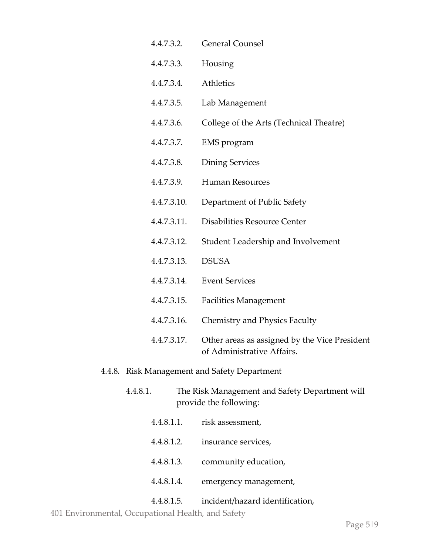| 4.4.7.3.2.  | <b>General Counsel</b>                                                      |
|-------------|-----------------------------------------------------------------------------|
| 4.4.7.3.3.  | Housing                                                                     |
| 4.4.7.3.4.  | Athletics                                                                   |
| 4.4.7.3.5.  | Lab Management                                                              |
| 4.4.7.3.6.  | College of the Arts (Technical Theatre)                                     |
| 4.4.7.3.7.  | EMS program                                                                 |
| 4.4.7.3.8.  | <b>Dining Services</b>                                                      |
| 4.4.7.3.9.  | <b>Human Resources</b>                                                      |
| 4.4.7.3.10. | Department of Public Safety                                                 |
| 4.4.7.3.11. | Disabilities Resource Center                                                |
| 4.4.7.3.12. | Student Leadership and Involvement                                          |
| 4.4.7.3.13. | <b>DSUSA</b>                                                                |
| 4.4.7.3.14. | <b>Event Services</b>                                                       |
| 4.4.7.3.15. | <b>Facilities Management</b>                                                |
| 4.4.7.3.16. | <b>Chemistry and Physics Faculty</b>                                        |
| 4.4.7.3.17. | Other areas as assigned by the Vice President<br>of Administrative Affairs. |
|             |                                                                             |

### 4.4.8. Risk Management and Safety Department

- 4.4.8.1. The Risk Management and Safety Department will provide the following:
	- 4.4.8.1.1. risk assessment,
	- 4.4.8.1.2. insurance services,
	- 4.4.8.1.3. community education,
	- 4.4.8.1.4. emergency management,

4.4.8.1.5. incident/hazard identification,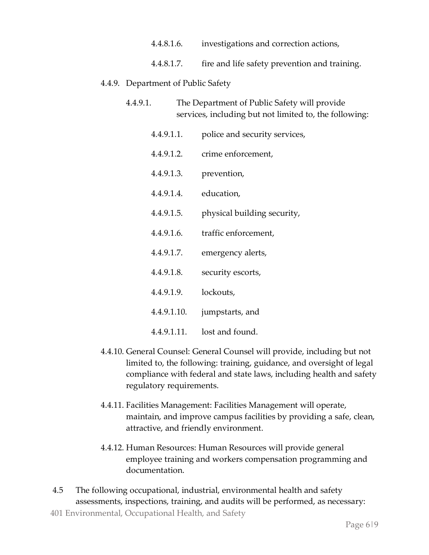| 4.4.8.1.6. | investigations and correction actions,        |
|------------|-----------------------------------------------|
| 4.4.8.1.7. | fire and life safety prevention and training. |

## 4.4.9. Department of Public Safety

- 4.4.9.1. The Department of Public Safety will provide services, including but not limited to, the following:
	- 4.4.9.1.1. police and security services, 4.4.9.1.2. crime enforcement, 4.4.9.1.3. prevention, 4.4.9.1.4. education, 4.4.9.1.5. physical building security, 4.4.9.1.6. traffic enforcement, 4.4.9.1.7. emergency alerts, 4.4.9.1.8. security escorts, 4.4.9.1.9. lockouts, 4.4.9.1.10. jumpstarts, and 4.4.9.1.11. lost and found.
- 4.4.10. General Counsel: General Counsel will provide, including but not limited to, the following: training, guidance, and oversight of legal compliance with federal and state laws, including health and safety regulatory requirements.
- 4.4.11. Facilities Management: Facilities Management will operate, maintain, and improve campus facilities by providing a safe, clean, attractive, and friendly environment.
- 4.4.12. Human Resources: Human Resources will provide general employee training and workers compensation programming and documentation.
- 401 Environmental, Occupational Health, and Safety 4.5 The following occupational, industrial, environmental health and safety assessments, inspections, training, and audits will be performed, as necessary: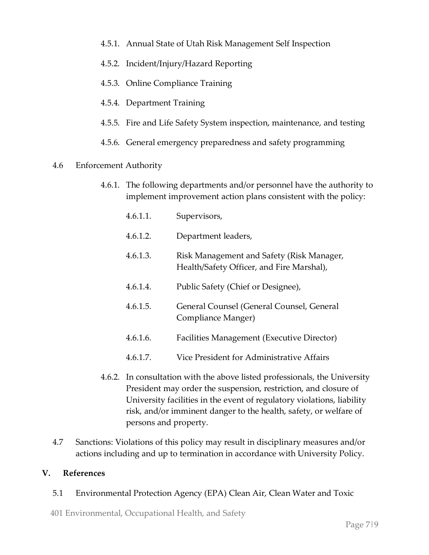- 4.5.1. Annual State of Utah Risk Management Self Inspection
- 4.5.2. Incident/Injury/Hazard Reporting
- 4.5.3. Online Compliance Training
- 4.5.4. Department Training
- 4.5.5. Fire and Life Safety System inspection, maintenance, and testing
- 4.5.6. General emergency preparedness and safety programming
- 4.6 Enforcement Authority
	- 4.6.1. The following departments and/or personnel have the authority to implement improvement action plans consistent with the policy:
		- 4.6.1.1. Supervisors,
		- 4.6.1.2. Department leaders,
		- 4.6.1.3. Risk Management and Safety (Risk Manager, Health/Safety Officer, and Fire Marshal),
		- 4.6.1.4. Public Safety (Chief or Designee),
		- 4.6.1.5. General Counsel (General Counsel, General Compliance Manger)
		- 4.6.1.6. Facilities Management (Executive Director)
		- 4.6.1.7. Vice President for Administrative Affairs
	- 4.6.2. In consultation with the above listed professionals, the University President may order the suspension, restriction, and closure of University facilities in the event of regulatory violations, liability risk, and/or imminent danger to the health, safety, or welfare of persons and property.
- 4.7 Sanctions: Violations of this policy may result in disciplinary measures and/or actions including and up to termination in accordance with University Policy.

#### **V. References**

5.1 Environmental Protection Agency (EPA) Clean Air, Clean Water and Toxic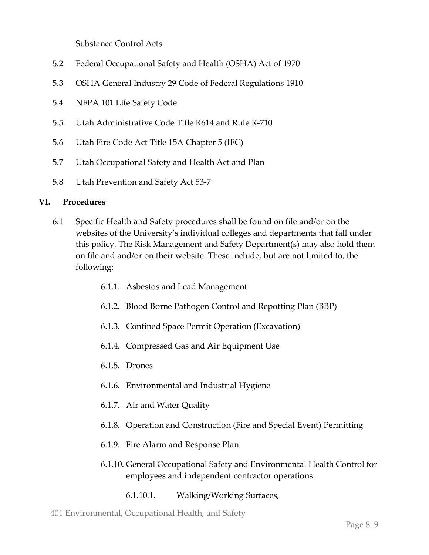Substance Control Acts

- 5.2 Federal Occupational Safety and Health (OSHA) Act of 1970
- 5.3 OSHA General Industry 29 Code of Federal Regulations 1910
- 5.4 NFPA 101 Life Safety Code
- 5.5 Utah Administrative Code Title R614 and Rule R-710
- 5.6 Utah Fire Code Act Title 15A Chapter 5 (IFC)
- 5.7 Utah Occupational Safety and Health Act and Plan
- 5.8 Utah Prevention and Safety Act 53-7

#### **VI. Procedures**

- 6.1 Specific Health and Safety procedures shall be found on file and/or on the websites of the University's individual colleges and departments that fall under this policy. The Risk Management and Safety Department(s) may also hold them on file and and/or on their website. These include, but are not limited to, the following:
	- 6.1.1. Asbestos and Lead Management
	- 6.1.2. Blood Borne Pathogen Control and Repotting Plan (BBP)
	- 6.1.3. Confined Space Permit Operation (Excavation)
	- 6.1.4. Compressed Gas and Air Equipment Use
	- 6.1.5. Drones
	- 6.1.6. Environmental and Industrial Hygiene
	- 6.1.7. Air and Water Quality
	- 6.1.8. Operation and Construction (Fire and Special Event) Permitting
	- 6.1.9. Fire Alarm and Response Plan
	- 6.1.10. General Occupational Safety and Environmental Health Control for employees and independent contractor operations:
		- 6.1.10.1. Walking/Working Surfaces,